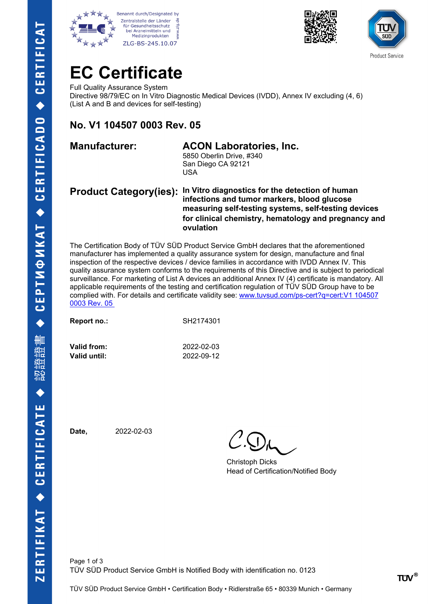







### **EC Certificate**

Full Quality Assurance System Directive 98/79/EC on In Vitro Diagnostic Medical Devices (IVDD), Annex IV excluding (4, 6) (List A and B and devices for self-testing)

### **No. V1 104507 0003 Rev. 05**

#### **Manufacturer: ACON Laboratories, Inc.**

5850 Oberlin Drive, #340 San Diego CA 92121 USA

#### **Product Category(ies): In Vitro diagnostics for the detection of human infections and tumor markers, blood glucose measuring self-testing systems, self-testing devices for clinical chemistry, hematology and pregnancy and ovulation**

The Certification Body of TÜV SÜD Product Service GmbH declares that the aforementioned manufacturer has implemented a quality assurance system for design, manufacture and final inspection of the respective devices / device families in accordance with IVDD Annex IV. This quality assurance system conforms to the requirements of this Directive and is subject to periodical surveillance. For marketing of List A devices an additional Annex IV (4) certificate is mandatory. All applicable requirements of the testing and certification regulation of TÜV SÜD Group have to be complied with. For details and certificate validity see: [www.tuvsud.com/ps-cert?q=cert:V1 104507](http://www.tuvsud.com/ps-cert?q=cert:V1%20104507%200003%20Rev.%2005)  [0003 Rev. 05](http://www.tuvsud.com/ps-cert?q=cert:V1%20104507%200003%20Rev.%2005) 

| Report no.: | SH2174301 |
|-------------|-----------|
|             |           |

**Valid from:** 2022-02-03 **Valid until:** 2022-09-12

**Date,** 2022-02-03

Christoph Dicks Head of Certification/Notified Body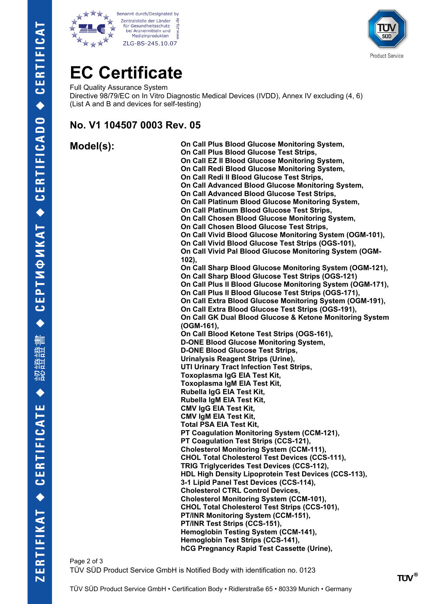





# **EC Certificate**

Full Quality Assurance System Directive 98/79/EC on In Vitro Diagnostic Medical Devices (IVDD), Annex IV excluding (4, 6) (List A and B and devices for self-testing)

### **No. V1 104507 0003 Rev. 05**

**Model(s): On Call Plus Blood Glucose Monitoring System, On Call Plus Blood Glucose Test Strips, On Call EZ II Blood Glucose Monitoring System, On Call Redi Blood Glucose Monitoring System, On Call Redi II Blood Glucose Test Strips, On Call Advanced Blood Glucose Monitoring System, On Call Advanced Blood Glucose Test Strips, On Call Platinum Blood Glucose Monitoring System, On Call Platinum Blood Glucose Test Strips, On Call Chosen Blood Glucose Monitoring System, On Call Chosen Blood Glucose Test Strips, On Call Vivid Blood Glucose Monitoring System (OGM-101), On Call Vivid Blood Glucose Test Strips (OGS-101), On Call Vivid Pal Blood Glucose Monitoring System (OGM-102), On Call Sharp Blood Glucose Monitoring System (OGM-121), On Call Sharp Blood Glucose Test Strips (OGS-121) On Call Plus II Blood Glucose Monitoring System (OGM-171), On Call Plus II Blood Glucose Test Strips (OGS-171), On Call Extra Blood Glucose Monitoring System (OGM-191), On Call Extra Blood Glucose Test Strips (OGS-191), On Call GK Dual Blood Glucose & Ketone Monitoring System (OGM-161), On Call Blood Ketone Test Strips (OGS-161), D-ONE Blood Glucose Monitoring System, D-ONE Blood Glucose Test Strips, Urinalysis Reagent Strips (Urine), UTI Urinary Tract Infection Test Strips, Toxoplasma IgG EIA Test Kit, Toxoplasma IgM EIA Test Kit, Rubella IgG EIA Test Kit, Rubella IgM EIA Test Kit, CMV IgG EIA Test Kit, CMV IgM EIA Test Kit, Total PSA EIA Test Kit, PT Coagulation Monitoring System (CCM-121), PT Coagulation Test Strips (CCS-121), Cholesterol Monitoring System (CCM-111), CHOL Total Cholesterol Test Devices (CCS-111), TRIG Triglycerides Test Devices (CCS-112), HDL High Density Lipoprotein Test Devices (CCS-113), 3-1 Lipid Panel Test Devices (CCS-114), Cholesterol CTRL Control Devices, Cholesterol Monitoring System (CCM-101), CHOL Total Cholesterol Test Strips (CCS-101), PT/INR Monitoring System (CCM-151), PT/INR Test Strips (CCS-151), Hemoglobin Testing System (CCM-141), Hemoglobin Test Strips (CCS-141), hCG Pregnancy Rapid Test Cassette (Urine),**

Page 2 of 3 TÜV SÜD Product Service GmbH is Notified Body with identification no. 0123